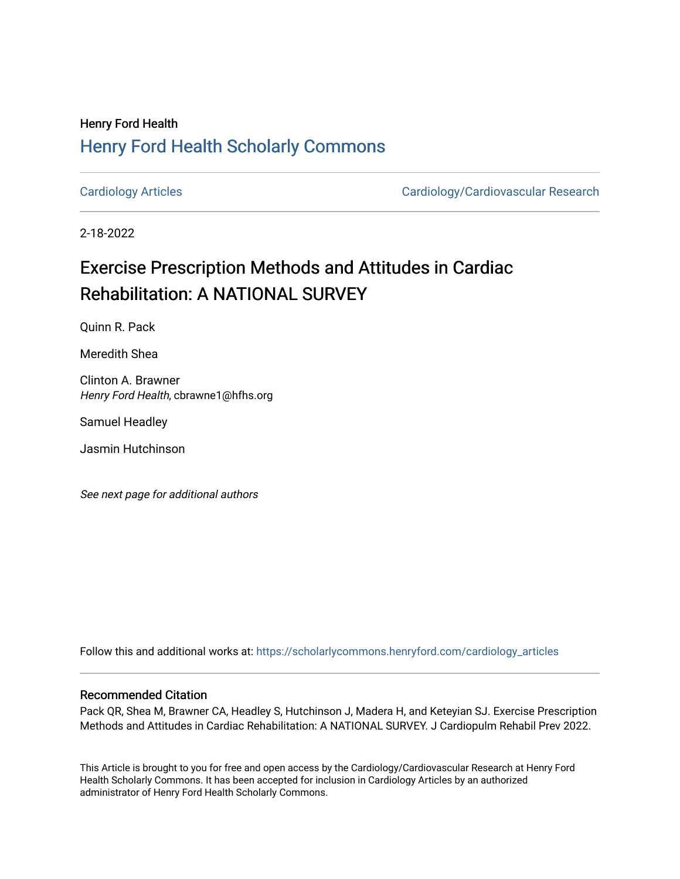# Henry Ford Health [Henry Ford Health Scholarly Commons](https://scholarlycommons.henryford.com/)

[Cardiology Articles](https://scholarlycommons.henryford.com/cardiology_articles) [Cardiology/Cardiovascular Research](https://scholarlycommons.henryford.com/cardiology) 

2-18-2022

# Exercise Prescription Methods and Attitudes in Cardiac Rehabilitation: A NATIONAL SURVEY

Quinn R. Pack

Meredith Shea

Clinton A. Brawner Henry Ford Health, cbrawne1@hfhs.org

Samuel Headley

Jasmin Hutchinson

See next page for additional authors

Follow this and additional works at: [https://scholarlycommons.henryford.com/cardiology\\_articles](https://scholarlycommons.henryford.com/cardiology_articles?utm_source=scholarlycommons.henryford.com%2Fcardiology_articles%2F878&utm_medium=PDF&utm_campaign=PDFCoverPages)

# Recommended Citation

Pack QR, Shea M, Brawner CA, Headley S, Hutchinson J, Madera H, and Keteyian SJ. Exercise Prescription Methods and Attitudes in Cardiac Rehabilitation: A NATIONAL SURVEY. J Cardiopulm Rehabil Prev 2022.

This Article is brought to you for free and open access by the Cardiology/Cardiovascular Research at Henry Ford Health Scholarly Commons. It has been accepted for inclusion in Cardiology Articles by an authorized administrator of Henry Ford Health Scholarly Commons.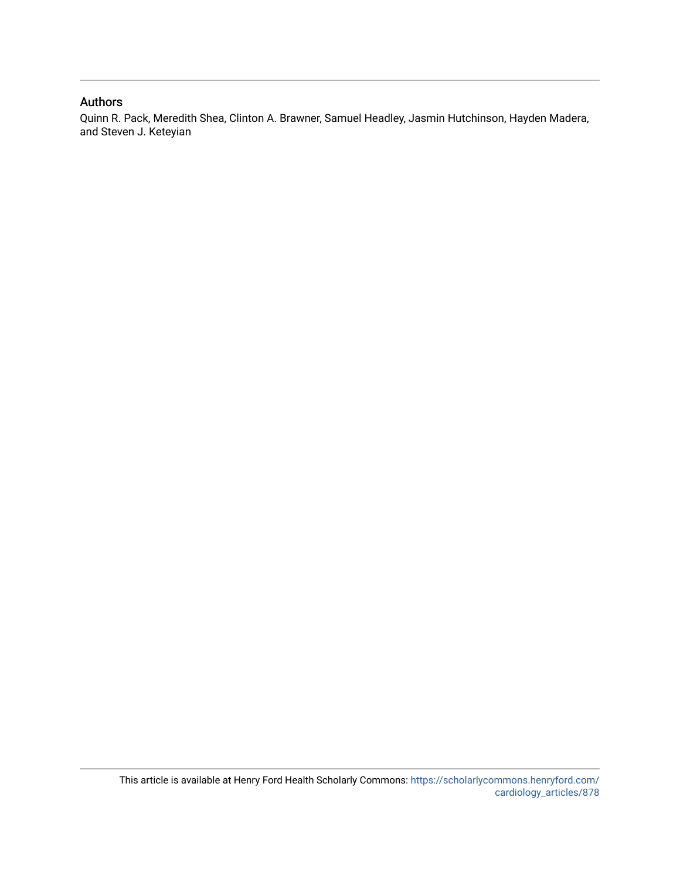# Authors

Quinn R. Pack, Meredith Shea, Clinton A. Brawner, Samuel Headley, Jasmin Hutchinson, Hayden Madera, and Steven J. Keteyian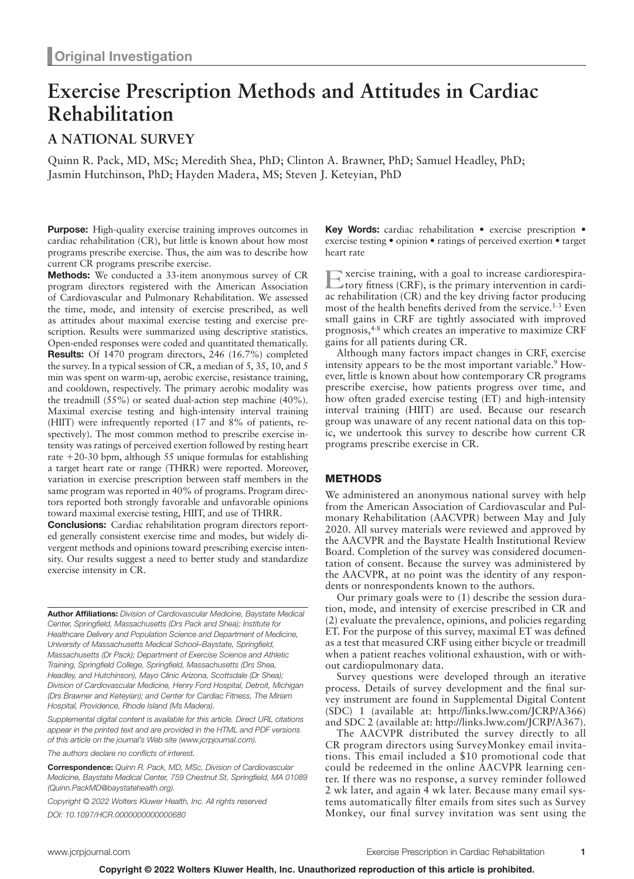# **Exercise Prescription Methods and Attitudes in Cardiac Rehabilitation**

# **A NATIONAL SURVEY**

Quinn R. Pack, MD, MSc; Meredith Shea, PhD; Clinton A. Brawner, PhD; Samuel Headley, PhD; Jasmin Hutchinson, PhD; Hayden Madera, MS; Steven J. Keteyian, PhD

**Purpose:** High-quality exercise training improves outcomes in cardiac rehabilitation (CR), but little is known about how most programs prescribe exercise. Thus, the aim was to describe how current CR programs prescribe exercise.

**Methods:** We conducted a 33-item anonymous survey of CR program directors registered with the American Association of Cardiovascular and Pulmonary Rehabilitation. We assessed the time, mode, and intensity of exercise prescribed, as well as attitudes about maximal exercise testing and exercise prescription. Results were summarized using descriptive statistics. Open-ended responses were coded and quantitated thematically. **Results:** Of 1470 program directors, 246 (16.7%) completed the survey. In a typical session of CR, a median of 5, 35, 10, and 5 min was spent on warm-up, aerobic exercise, resistance training, and cooldown, respectively. The primary aerobic modality was the treadmill (55%) or seated dual-action step machine (40%). Maximal exercise testing and high-intensity interval training (HIIT) were infrequently reported (17 and 8% of patients, respectively). The most common method to prescribe exercise intensity was ratings of perceived exertion followed by resting heart rate +20-30 bpm, although 55 unique formulas for establishing a target heart rate or range (THRR) were reported. Moreover, variation in exercise prescription between staff members in the same program was reported in 40% of programs. Program directors reported both strongly favorable and unfavorable opinions toward maximal exercise testing, HIIT, and use of THRR.

**Conclusions:** Cardiac rehabilitation program directors reported generally consistent exercise time and modes, but widely divergent methods and opinions toward prescribing exercise intensity. Our results suggest a need to better study and standardize exercise intensity in CR.

**Author Affiliations:** *Division of Cardiovascular Medicine, Baystate Medical Center, Springfield, Massachusetts (Drs Pack and Shea); Institute for Healthcare Delivery and Population Science and Department of Medicine, University of Massachusetts Medical School–Baystate, Springfield, Massachusetts (Dr Pack); Department of Exercise Science and Athletic Training, Springfield College, Springfield, Massachusetts (Drs Shea, Headley, and Hutchinson), Mayo Clinic Arizona, Scottsdale (Dr Shea); Division of Cardiovascular Medicine, Henry Ford Hospital, Detroit, Michigan (Drs Brawner and Keteyian); and Center for Cardiac Fitness, The Miriam Hospital, Providence, Rhode Island (Ms Madera).*

*Supplemental digital content is available for this article. Direct URL citations appear in the printed text and are provided in the HTML and PDF versions of this article on the journal's Web site (www.jcrpjournal.com).*

*The authors declare no conflicts of interest.*

**Correspondence:** *Quinn R. Pack, MD, MSc, Division of Cardiovascular Medicine, Baystate Medical Center, 759 Chestnut St, Springfield, MA 01089 (Quinn.PackMD@baystatehealth.org).*

*Copyright © 2022 Wolters Kluwer Health, Inc. All rights reserved DOI: 10.1097/HCR.0000000000000680*

**Key Words:** cardiac rehabilitation • exercise prescription • exercise testing • opinion • ratings of perceived exertion • target heart rate

Exercise training, with a goal to increase cardiorespira-<br>tory fitness (CRF), is the primary intervention in cardiac rehabilitation (CR) and the key driving factor producing most of the health benefits derived from the service.<sup>1-3</sup> Even small gains in CRF are tightly associated with improved prognosis,4-8 which creates an imperative to maximize CRF gains for all patients during CR.

Although many factors impact changes in CRF, exercise intensity appears to be the most important variable.<sup>9</sup> However, little is known about how contemporary CR programs prescribe exercise, how patients progress over time, and how often graded exercise testing (ET) and high-intensity interval training (HIIT) are used. Because our research group was unaware of any recent national data on this topic, we undertook this survey to describe how current CR programs prescribe exercise in CR.

## METHODS

We administered an anonymous national survey with help from the American Association of Cardiovascular and Pulmonary Rehabilitation (AACVPR) between May and July 2020. All survey materials were reviewed and approved by the AACVPR and the Baystate Health Institutional Review Board. Completion of the survey was considered documentation of consent. Because the survey was administered by the AACVPR, at no point was the identity of any respondents or nonrespondents known to the authors.

Our primary goals were to (1) describe the session duration, mode, and intensity of exercise prescribed in CR and (2) evaluate the prevalence, opinions, and policies regarding ET. For the purpose of this survey, maximal ET was defined as a test that measured CRF using either bicycle or treadmill when a patient reaches volitional exhaustion, with or without cardiopulmonary data.

Survey questions were developed through an iterative process. Details of survey development and the final survey instrument are found in Supplemental Digital Content (SDC) 1 (available at: http://links.lww.com/JCRP/A366) and SDC 2 (available at: http://links.lww.com/JCRP/A367).

The AACVPR distributed the survey directly to all CR program directors using SurveyMonkey email invitations. This email included a \$10 promotional code that could be redeemed in the online AACVPR learning center. If there was no response, a survey reminder followed 2 wk later, and again 4 wk later. Because many email systems automatically filter emails from sites such as Survey Monkey, our final survey invitation was sent using the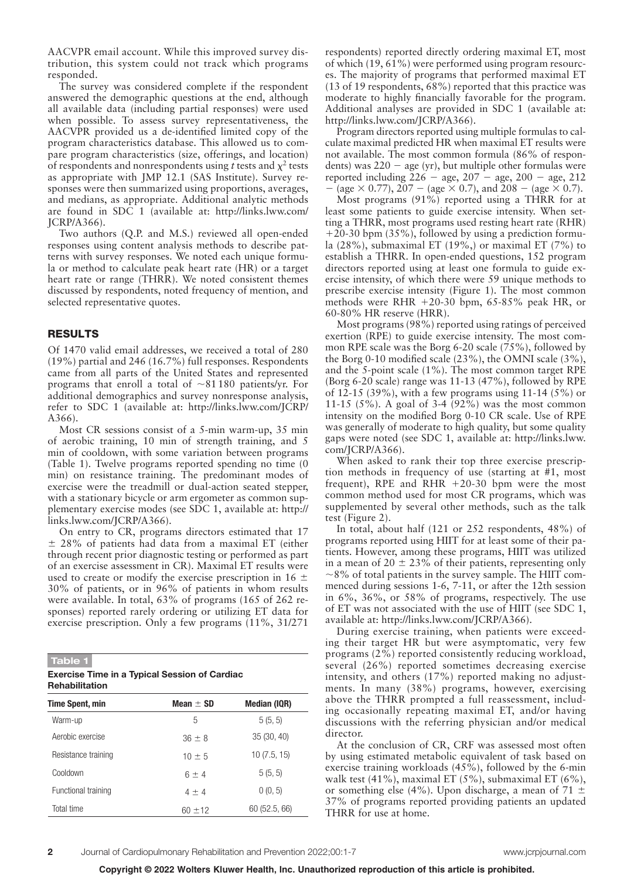AACVPR email account. While this improved survey distribution, this system could not track which programs responded.

The survey was considered complete if the respondent answered the demographic questions at the end, although all available data (including partial responses) were used when possible. To assess survey representativeness, the AACVPR provided us a de-identified limited copy of the program characteristics database. This allowed us to compare program characteristics (size, offerings, and location) of respondents and nonrespondents using *t* tests and  $\chi^2$  tests as appropriate with JMP 12.1 (SAS Institute). Survey responses were then summarized using proportions, averages, and medians, as appropriate. Additional analytic methods are found in SDC 1 (available at: http://links.lww.com/ JCRP/A366).

Two authors (Q.P. and M.S.) reviewed all open-ended responses using content analysis methods to describe patterns with survey responses. We noted each unique formula or method to calculate peak heart rate (HR) or a target heart rate or range (THRR). We noted consistent themes discussed by respondents, noted frequency of mention, and selected representative quotes.

### RESULTS

Of 1470 valid email addresses, we received a total of 280 (19%) partial and 246 (16.7%) full responses. Respondents came from all parts of the United States and represented programs that enroll a total of ∼81180 patients/yr. For additional demographics and survey nonresponse analysis, refer to SDC 1 (available at: http://links.lww.com/JCRP/ A366).

Most CR sessions consist of a 5-min warm-up, 35 min of aerobic training, 10 min of strength training, and 5 min of cooldown, with some variation between programs (Table 1). Twelve programs reported spending no time (0 min) on resistance training. The predominant modes of exercise were the treadmill or dual-action seated stepper, with a stationary bicycle or arm ergometer as common supplementary exercise modes (see SDC 1, available at: http:// links.lww.com/JCRP/A366).

On entry to CR, programs directors estimated that 17 ± 28% of patients had data from a maximal ET (either through recent prior diagnostic testing or performed as part of an exercise assessment in CR). Maximal ET results were used to create or modify the exercise prescription in 16  $\pm$ 30% of patients, or in 96% of patients in whom results were available. In total, 63% of programs (165 of 262 responses) reported rarely ordering or utilizing ET data for exercise prescription. Only a few programs (11%, 31/271

**Table 1**

## **Exercise Time in a Typical Session of Cardiac Rehabilitation**

| <b>Time Spent, min</b> | Mean $\pm$ SD | Median (IQR)  |
|------------------------|---------------|---------------|
| Warm-up                | 5             | 5(5, 5)       |
| Aerobic exercise       | $36 \pm 8$    | 35(30, 40)    |
| Resistance training    | $10 \pm 5$    | 10 (7.5, 15)  |
| Cooldown               | $6 \pm 4$     | 5(5, 5)       |
| Functional training    | $4 + 4$       | 0(0, 5)       |
| Total time             | $60 + 12$     | 60 (52.5, 66) |

respondents) reported directly ordering maximal ET, most of which (19, 61%) were performed using program resources. The majority of programs that performed maximal ET (13 of 19 respondents, 68%) reported that this practice was moderate to highly financially favorable for the program. Additional analyses are provided in SDC 1 (available at: http://links.lww.com/JCRP/A366).

Program directors reported using multiple formulas to calculate maximal predicted HR when maximal ET results were not available. The most common formula (86% of respondents) was  $220 - age$  (yr), but multiple other formulas were reported including 226 − age, 207 − age, 200 − age, 212  $-\left($ age × 0.77), 207 – (age × 0.7), and 208 – (age × 0.7).

Most programs (91%) reported using a THRR for at least some patients to guide exercise intensity. When setting a THRR, most programs used resting heart rate (RHR) +20-30 bpm (35%), followed by using a prediction formula (28%), submaximal ET (19%,) or maximal ET (7%) to establish a THRR. In open-ended questions, 152 program directors reported using at least one formula to guide exercise intensity, of which there were 59 unique methods to prescribe exercise intensity (Figure 1). The most common methods were RHR +20-30 bpm, 65-85% peak HR, or 60-80% HR reserve (HRR).

Most programs (98%) reported using ratings of perceived exertion (RPE) to guide exercise intensity. The most common RPE scale was the Borg 6-20 scale (75%), followed by the Borg 0-10 modified scale (23%), the OMNI scale (3%), and the 5-point scale (1%). The most common target RPE (Borg 6-20 scale) range was 11-13 (47%), followed by RPE of 12-15 (39%), with a few programs using 11-14 (5%) or 11-15 (5%). A goal of 3-4 (92%) was the most common intensity on the modified Borg 0-10 CR scale. Use of RPE was generally of moderate to high quality, but some quality gaps were noted (see SDC 1, available at: http://links.lww. com/JCRP/A366).

When asked to rank their top three exercise prescription methods in frequency of use (starting at #1, most frequent), RPE and RHR +20-30 bpm were the most common method used for most CR programs, which was supplemented by several other methods, such as the talk test (Figure 2).

In total, about half (121 or 252 respondents, 48%) of programs reported using HIIT for at least some of their patients. However, among these programs, HIIT was utilized in a mean of  $20 \pm 23\%$  of their patients, representing only ∼8% of total patients in the survey sample. The HIIT commenced during sessions 1-6, 7-11, or after the 12th session in 6%, 36%, or 58% of programs, respectively. The use of ET was not associated with the use of HIIT (see SDC 1, available at: http://links.lww.com/JCRP/A366).

During exercise training, when patients were exceeding their target HR but were asymptomatic, very few programs (2%) reported consistently reducing workload, several (26%) reported sometimes decreasing exercise intensity, and others (17%) reported making no adjustments. In many (38%) programs, however, exercising above the THRR prompted a full reassessment, including occasionally repeating maximal ET, and/or having discussions with the referring physician and/or medical director.

At the conclusion of CR, CRF was assessed most often by using estimated metabolic equivalent of task based on exercise training workloads (45%), followed by the 6-min walk test (41%), maximal ET (5%), submaximal ET (6%), or something else (4%). Upon discharge, a mean of 71  $\pm$ 37% of programs reported providing patients an updated THRR for use at home.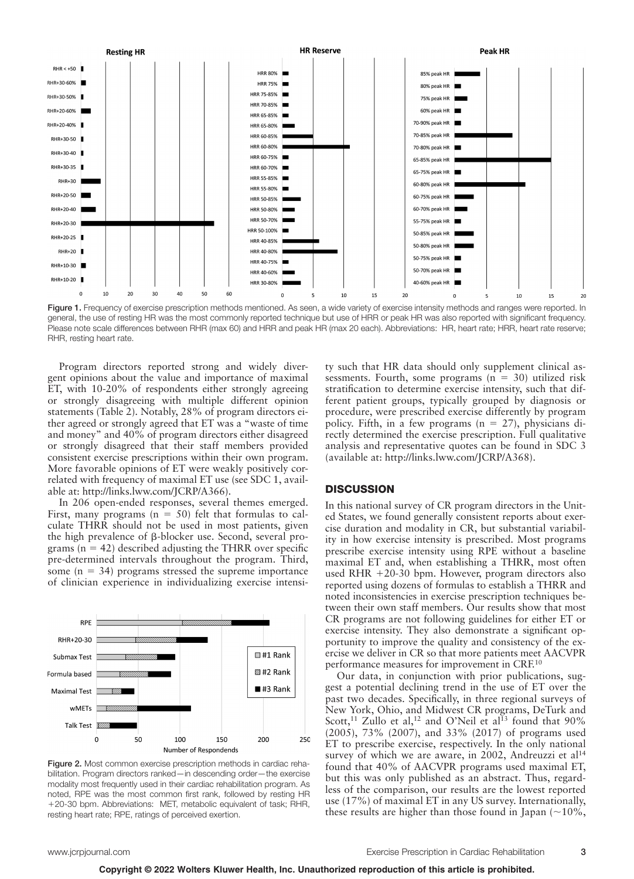

Figure 1. Frequency of exercise prescription methods mentioned. As seen, a wide variety of exercise intensity methods and ranges were reported. In general, the use of resting HR was the most commonly reported technique but use of HRR or peak HR was also reported with significant frequency. Please note scale differences between RHR (max 60) and HRR and peak HR (max 20 each). Abbreviations: HR, heart rate; HRR, heart rate reserve; RHR, resting heart rate.

Program directors reported strong and widely divergent opinions about the value and importance of maximal ET, with 10-20% of respondents either strongly agreeing or strongly disagreeing with multiple different opinion statements (Table 2). Notably, 28% of program directors either agreed or strongly agreed that ET was a "waste of time and money" and 40% of program directors either disagreed or strongly disagreed that their staff members provided consistent exercise prescriptions within their own program. More favorable opinions of ET were weakly positively correlated with frequency of maximal ET use (see SDC 1, available at: http://links.lww.com/JCRP/A366).

In 206 open-ended responses, several themes emerged. First, many programs ( $n = 50$ ) felt that formulas to calculate THRR should not be used in most patients, given the high prevalence of β-blocker use. Second, several programs ( $n = 42$ ) described adjusting the THRR over specific pre-determined intervals throughout the program. Third, some  $(n = 34)$  programs stressed the supreme importance of clinician experience in individualizing exercise intensi-



Figure 2. Most common exercise prescription methods in cardiac rehabilitation. Program directors ranked—in descending order—the exercise modality most frequently used in their cardiac rehabilitation program. As noted, RPE was the most common first rank, followed by resting HR +20-30 bpm. Abbreviations: MET, metabolic equivalent of task; RHR, resting heart rate; RPE, ratings of perceived exertion.

ty such that HR data should only supplement clinical assessments. Fourth, some programs  $(n = 30)$  utilized risk stratification to determine exercise intensity, such that different patient groups, typically grouped by diagnosis or procedure, were prescribed exercise differently by program policy. Fifth, in a few programs  $(n = 27)$ , physicians directly determined the exercise prescription. Full qualitative analysis and representative quotes can be found in SDC 3 (available at: http://links.lww.com/JCRP/A368).

#### **DISCUSSION**

In this national survey of CR program directors in the United States, we found generally consistent reports about exercise duration and modality in CR, but substantial variability in how exercise intensity is prescribed. Most programs prescribe exercise intensity using RPE without a baseline maximal ET and, when establishing a THRR, most often used RHR +20-30 bpm. However, program directors also reported using dozens of formulas to establish a THRR and noted inconsistencies in exercise prescription techniques between their own staff members. Our results show that most CR programs are not following guidelines for either ET or exercise intensity. They also demonstrate a significant opportunity to improve the quality and consistency of the exercise we deliver in CR so that more patients meet AACVPR performance measures for improvement in CRF.10

Our data, in conjunction with prior publications, suggest a potential declining trend in the use of ET over the past two decades. Specifically, in three regional surveys of New York, Ohio, and Midwest CR programs, DeTurk and Scott,<sup>11</sup> Zullo et al,<sup>12</sup> and O'Neil et al<sup>13</sup> found that 90% (2005), 73% (2007), and 33% (2017) of programs used ET to prescribe exercise, respectively. In the only national survey of which we are aware, in 2002, Andreuzzi et al<sup>14</sup> found that 40% of AACVPR programs used maximal ET, but this was only published as an abstract. Thus, regardless of the comparison, our results are the lowest reported use (17%) of maximal ET in any US survey. Internationally, these results are higher than those found in Japan ( $\sim$ 10%,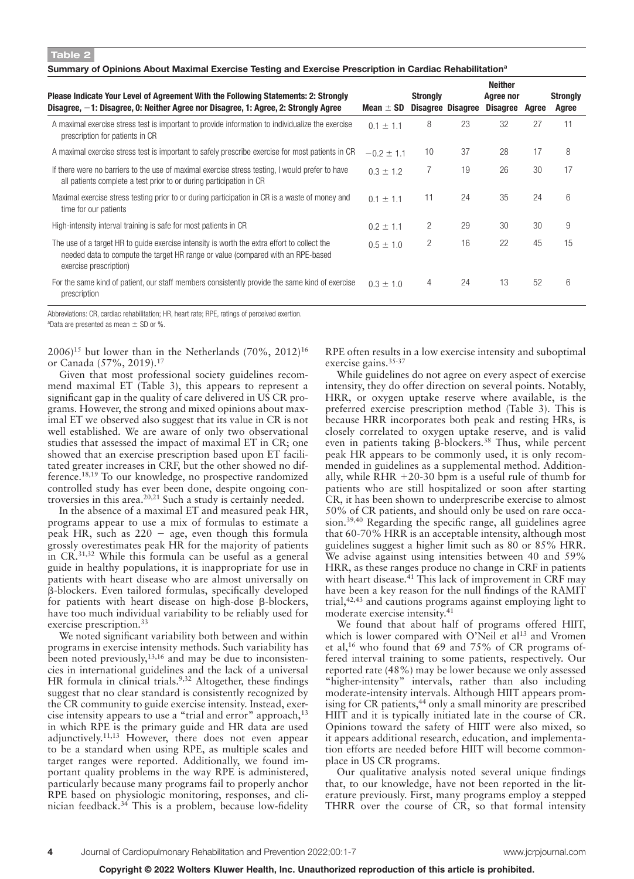#### **Table 2**

| "Summary of Opinions About Maximal Exercise Testing and Exercise Prescription in Cardiac Rehabilitation |  |
|---------------------------------------------------------------------------------------------------------|--|
|---------------------------------------------------------------------------------------------------------|--|

| Please Indicate Your Level of Agreement With the Following Statements: 2: Strongly                                                                                                                       |                | <b>Strongly</b> |                   | <b>Neither</b><br>Agree nor |       | <b>Strongly</b> |
|----------------------------------------------------------------------------------------------------------------------------------------------------------------------------------------------------------|----------------|-----------------|-------------------|-----------------------------|-------|-----------------|
| Disagree, -1: Disagree, 0: Neither Agree nor Disagree, 1: Agree, 2: Strongly Agree                                                                                                                       | Mean $\pm$ SD  |                 | Disagree Disagree | <b>Disagree</b>             | Agree | Agree           |
| A maximal exercise stress test is important to provide information to individualize the exercise<br>prescription for patients in CR                                                                      | $0.1 \pm 1.1$  | 8               | 23                | 32                          | 27    | 11              |
| A maximal exercise stress test is important to safely prescribe exercise for most patients in CR                                                                                                         | $-0.2 \pm 1.1$ | 10              | 37                | 28                          | 17    | 8               |
| If there were no barriers to the use of maximal exercise stress testing, I would prefer to have<br>all patients complete a test prior to or during participation in CR                                   | $0.3 \pm 1.2$  |                 | 19                | 26                          | 30    | 17              |
| Maximal exercise stress testing prior to or during participation in CR is a waste of money and<br>time for our patients                                                                                  | $0.1 \pm 1.1$  | 11              | 24                | 35                          | 24    | 6               |
| High-intensity interval training is safe for most patients in CR                                                                                                                                         | $0.2 \pm 1.1$  | 2               | 29                | 30                          | 30    | 9               |
| The use of a target HR to guide exercise intensity is worth the extra effort to collect the<br>needed data to compute the target HR range or value (compared with an RPE-based<br>exercise prescription) | $0.5 \pm 1.0$  | 2               | 16                | 22                          | 45    | 15              |
| For the same kind of patient, our staff members consistently provide the same kind of exercise<br>prescription                                                                                           | $0.3 \pm 1.0$  | 4               | 24                | 13                          | 52    | 6               |

Abbreviations: CR, cardiac rehabilitation; HR, heart rate; RPE, ratings of perceived exertion. a Data are presented as mean ± SD or %.

 $2006$ <sup>15</sup> but lower than in the Netherlands  $(70\%, 2012)^{16}$ or Canada (57%, 2019).17

Given that most professional society guidelines recommend maximal ET (Table 3), this appears to represent a significant gap in the quality of care delivered in US CR programs. However, the strong and mixed opinions about maximal ET we observed also suggest that its value in CR is not well established. We are aware of only two observational studies that assessed the impact of maximal ET in CR; one showed that an exercise prescription based upon ET facilitated greater increases in CRF, but the other showed no difference.18,19 To our knowledge, no prospective randomized controlled study has ever been done, despite ongoing controversies in this area.20,21 Such a study is certainly needed.

In the absence of a maximal ET and measured peak HR, programs appear to use a mix of formulas to estimate a peak HR, such as 220 − age, even though this formula grossly overestimates peak HR for the majority of patients in CR.31,32 While this formula can be useful as a general guide in healthy populations, it is inappropriate for use in patients with heart disease who are almost universally on β-blockers. Even tailored formulas, specifically developed for patients with heart disease on high-dose β-blockers, have too much individual variability to be reliably used for exercise prescription.<sup>33</sup>

We noted significant variability both between and within programs in exercise intensity methods. Such variability has been noted previously,  $13,16$  and may be due to inconsistencies in international guidelines and the lack of a universal HR formula in clinical trials.<sup>9,32</sup> Altogether, these findings suggest that no clear standard is consistently recognized by the CR community to guide exercise intensity. Instead, exercise intensity appears to use a "trial and error" approach,<sup>13</sup> in which RPE is the primary guide and HR data are used adjunctively.11,13 However, there does not even appear to be a standard when using RPE, as multiple scales and target ranges were reported. Additionally, we found important quality problems in the way RPE is administered, particularly because many programs fail to properly anchor RPE based on physiologic monitoring, responses, and clinician feedback.34 This is a problem, because low-fidelity

RPE often results in a low exercise intensity and suboptimal exercise gains.<sup>35-37</sup>

While guidelines do not agree on every aspect of exercise intensity, they do offer direction on several points. Notably, HRR, or oxygen uptake reserve where available, is the preferred exercise prescription method (Table 3). This is because HRR incorporates both peak and resting HRs, is closely correlated to oxygen uptake reserve, and is valid even in patients taking  $β$ -blockers.<sup>38</sup> Thus, while percent peak HR appears to be commonly used, it is only recommended in guidelines as a supplemental method. Additionally, while  $RHR + 20-30$  bpm is a useful rule of thumb for patients who are still hospitalized or soon after starting CR, it has been shown to underprescribe exercise to almost 50% of CR patients, and should only be used on rare occasion.<sup>39,40</sup> Regarding the specific range, all guidelines agree that 60-70% HRR is an acceptable intensity, although most guidelines suggest a higher limit such as 80 or 85% HRR. We advise against using intensities between 40 and 59% HRR, as these ranges produce no change in CRF in patients with heart disease.<sup>41</sup> This lack of improvement in CRF may have been a key reason for the null findings of the RAMIT trial,42,43 and cautions programs against employing light to moderate exercise intensity.41

We found that about half of programs offered HIIT, which is lower compared with O'Neil et al<sup>13</sup> and Vromen et al,<sup>16</sup> who found that 69 and  $75\%$  of CR programs offered interval training to some patients, respectively. Our reported rate (48%) may be lower because we only assessed "higher-intensity" intervals, rather than also including moderate-intensity intervals. Although HIIT appears promising for CR patients,<sup>44</sup> only a small minority are prescribed HIIT and it is typically initiated late in the course of CR. Opinions toward the safety of HIIT were also mixed, so it appears additional research, education, and implementation efforts are needed before HIIT will become commonplace in US CR programs.

Our qualitative analysis noted several unique findings that, to our knowledge, have not been reported in the literature previously. First, many programs employ a stepped THRR over the course of CR, so that formal intensity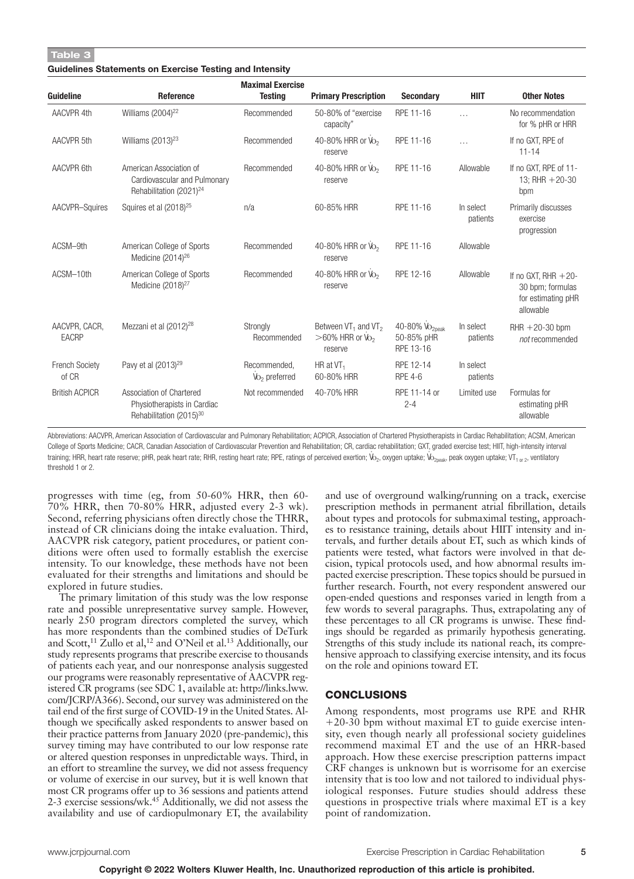#### **Guidelines Statements on Exercise Testing and Intensity**

|                                |                                                                                                | <b>Maximal Exercise</b>                   |                                                                        |                                                       |                       |                                                                               |
|--------------------------------|------------------------------------------------------------------------------------------------|-------------------------------------------|------------------------------------------------------------------------|-------------------------------------------------------|-----------------------|-------------------------------------------------------------------------------|
| Guideline                      | <b>Reference</b>                                                                               | <b>Testing</b>                            | <b>Primary Prescription</b>                                            | <b>Secondary</b>                                      | <b>HIIT</b>           | <b>Other Notes</b>                                                            |
| AACVPR 4th                     | Williams (2004) <sup>22</sup>                                                                  | Recommended                               | 50-80% of "exercise"<br>capacity"                                      | RPE 11-16                                             | $\cdots$              | No recommendation<br>for % pHR or HRR                                         |
| <b>AACVPR 5th</b>              | Williams $(2013)^{23}$                                                                         | Recommended                               | 40-80% HRR or Vo <sub>2</sub><br>reserve                               | RPE 11-16                                             | $\cdots$              | If no GXT, RPE of<br>$11 - 14$                                                |
| AACVPR 6th                     | American Association of<br>Cardiovascular and Pulmonary<br>Rehabilitation (2021) <sup>24</sup> | Recommended                               | 40-80% HRR or Vo <sub>2</sub><br>reserve                               | RPE 11-16                                             | Allowable             | If no GXT, RPE of 11-<br>13; RHR $+20-30$<br>bpm                              |
| AACVPR-Squires                 | Squires et al (2018) <sup>25</sup>                                                             | n/a                                       | 60-85% HRR                                                             | RPE 11-16                                             | In select<br>patients | Primarily discusses<br>exercise<br>progression                                |
| ACSM-9th                       | American College of Sports<br>Medicine $(2014)^{26}$                                           | Recommended                               | 40-80% HRR or Vo <sub>2</sub><br>reserve                               | RPE 11-16                                             | Allowable             |                                                                               |
| ACSM-10th                      | American College of Sports<br>Medicine (2018) <sup>27</sup>                                    | Recommended                               | 40-80% HRR or Vo <sub>2</sub><br>reserve                               | RPE 12-16                                             | Allowable             | If no GXT, RHR $+20$ -<br>30 bpm; formulas<br>for estimating pHR<br>allowable |
| AACVPR, CACR,<br><b>EACRP</b>  | Mezzani et al (2012) <sup>28</sup>                                                             | Strongly<br>Recommended                   | Between $VT_1$ and $VT_2$<br>$>60\%$ HRR or Vo <sub>2</sub><br>reserve | 40-80% VO <sub>20eak</sub><br>50-85% pHR<br>RPE 13-16 | In select<br>patients | RHR $+20-30$ bpm<br>not recommended                                           |
| <b>French Society</b><br>of CR | Pavy et al (2013) <sup>29</sup>                                                                | Recommended.<br>Vo <sub>2</sub> preferred | HR at $VT_1$<br>60-80% HRR                                             | RPE 12-14<br><b>RPE 4-6</b>                           | In select<br>patients |                                                                               |
| <b>British ACPICR</b>          | Association of Chartered<br>Physiotherapists in Cardiac<br>Rehabilitation (2015) <sup>30</sup> | Not recommended                           | 40-70% HRR                                                             | RPE 11-14 or<br>$2 - 4$                               | Limited use           | Formulas for<br>estimating pHR<br>allowable                                   |

Abbreviations: AACVPR, American Association of Cardiovascular and Pulmonary Rehabilitation; ACPICR, Association of Chartered Physiotherapists in Cardiac Rehabilitation; ACSM, American College of Sports Medicine; CACR, Canadian Association of Cardiovascular Prevention and Rehabilitation; CR, cardiac rehabilitation; GXT, graded exercise test; HIIT, high-intensity interval training; HRR, heart rate reserve; pHR, peak heart rate; RHR, resting heart rate; RPE, ratings of perceived exertion; Vo<sub>2</sub>, oxygen uptake; Vo<sub>2peak</sub>, peak oxygen uptake; VT<sub>1 or 2</sub>, ventilatory ˙ ˙ threshold 1 or 2.

progresses with time (eg, from 50-60% HRR, then 60- 70% HRR, then 70-80% HRR, adjusted every 2-3 wk). Second, referring physicians often directly chose the THRR, instead of CR clinicians doing the intake evaluation. Third, AACVPR risk category, patient procedures, or patient conditions were often used to formally establish the exercise intensity. To our knowledge, these methods have not been evaluated for their strengths and limitations and should be explored in future studies.

The primary limitation of this study was the low response rate and possible unrepresentative survey sample. However, nearly 250 program directors completed the survey, which has more respondents than the combined studies of DeTurk and Scott,<sup>11</sup> Zullo et al,<sup>12</sup> and O'Neil et al.<sup>13</sup> Additionally, our study represents programs that prescribe exercise to thousands of patients each year, and our nonresponse analysis suggested our programs were reasonably representative of AACVPR registered CR programs (see SDC 1, available at: http://links.lww. com/JCRP/A366). Second, our survey was administered on the tail end of the first surge of COVID-19 in the United States. Although we specifically asked respondents to answer based on their practice patterns from January 2020 (pre-pandemic), this survey timing may have contributed to our low response rate or altered question responses in unpredictable ways. Third, in an effort to streamline the survey, we did not assess frequency or volume of exercise in our survey, but it is well known that most CR programs offer up to 36 sessions and patients attend 2-3 exercise sessions/wk. $45$  Additionally, we did not assess the availability and use of cardiopulmonary ET, the availability

and use of overground walking/running on a track, exercise prescription methods in permanent atrial fibrillation, details about types and protocols for submaximal testing, approaches to resistance training, details about HIIT intensity and intervals, and further details about ET, such as which kinds of patients were tested, what factors were involved in that decision, typical protocols used, and how abnormal results impacted exercise prescription. These topics should be pursued in further research. Fourth, not every respondent answered our open-ended questions and responses varied in length from a few words to several paragraphs. Thus, extrapolating any of these percentages to all CR programs is unwise. These findings should be regarded as primarily hypothesis generating. Strengths of this study include its national reach, its comprehensive approach to classifying exercise intensity, and its focus on the role and opinions toward ET.

### **CONCLUSIONS**

Among respondents, most programs use RPE and RHR +20-30 bpm without maximal ET to guide exercise intensity, even though nearly all professional society guidelines recommend maximal ET and the use of an HRR-based approach. How these exercise prescription patterns impact CRF changes is unknown but is worrisome for an exercise intensity that is too low and not tailored to individual physiological responses. Future studies should address these questions in prospective trials where maximal ET is a key point of randomization.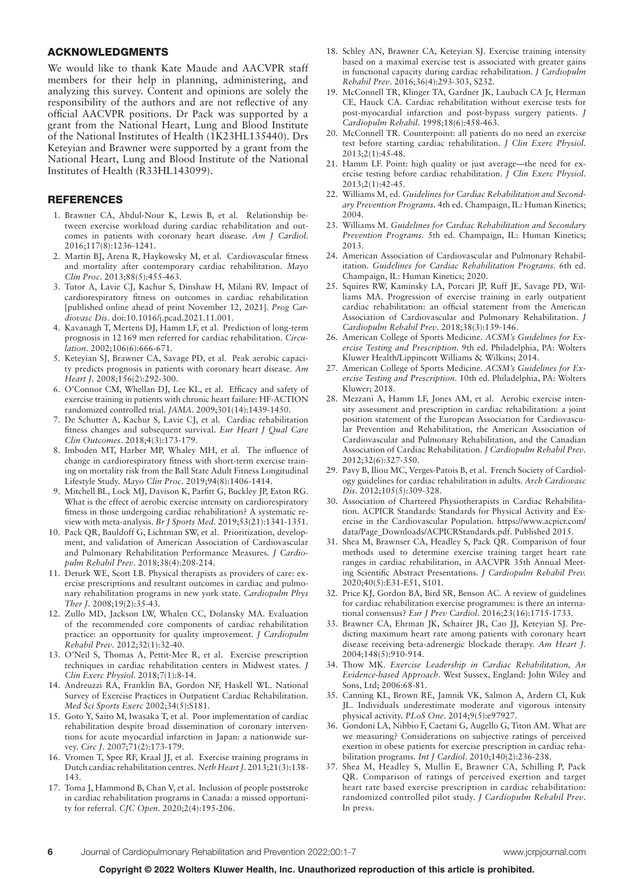### ACKNOWLEDGMENTS

We would like to thank Kate Maude and AACVPR staff members for their help in planning, administering, and analyzing this survey. Content and opinions are solely the responsibility of the authors and are not reflective of any official AACVPR positions. Dr Pack was supported by a grant from the National Heart, Lung and Blood Institute of the National Institutes of Health (1K23HL135440). Drs Keteyian and Brawner were supported by a grant from the National Heart, Lung and Blood Institute of the National Institutes of Health (R33HL143099).

#### REFERENCES

- 1. Brawner CA, Abdul-Nour K, Lewis B, et al. Relationship between exercise workload during cardiac rehabilitation and outcomes in patients with coronary heart disease. *Am J Cardiol*. 2016;117(8):1236-1241.
- 2. Martin BJ, Arena R, Haykowsky M, et al. Cardiovascular fitness and mortality after contemporary cardiac rehabilitation. *Mayo Clin Proc*. 2013;88(5):455-463.
- 3. Tutor A, Lavie CJ, Kachur S, Dinshaw H, Milani RV. Impact of cardiorespiratory fitness on outcomes in cardiac rehabilitation [published online ahead of print November 12, 2021]. *Prog Cardiovasc Dis*. doi:10.1016/j.pcad.2021.11.001.
- 4. Kavanagh T, Mertens DJ, Hamm LF, et al. Prediction of long-term prognosis in 12169 men referred for cardiac rehabilitation. *Circulation*. 2002;106(6):666-671.
- 5. Keteyian SJ, Brawner CA, Savage PD, et al. Peak aerobic capacity predicts prognosis in patients with coronary heart disease. *Am Heart J*. 2008;156(2):292-300.
- 6. O'Connor CM, Whellan DJ, Lee KL, et al. Efficacy and safety of exercise training in patients with chronic heart failure: HF-ACTION randomized controlled trial. *JAMA.* 2009;301(14):1439-1450.
- 7. De Schutter A, Kachur S, Lavie CJ, et al. Cardiac rehabilitation fitness changes and subsequent survival. *Eur Heart J Qual Care Clin Outcomes*. 2018;4(3):173-179.
- 8. Imboden MT, Harber MP, Whaley MH, et al. The influence of change in cardiorespiratory fitness with short-term exercise training on mortality risk from the Ball State Adult Fitness Longitudinal Lifestyle Study. *Mayo Clin Proc*. 2019;94(8):1406-1414.
- 9. Mitchell BL, Lock MJ, Davison K, Parfitt G, Buckley JP, Eston RG. What is the effect of aerobic exercise intensity on cardiorespiratory fitness in those undergoing cardiac rehabilitation? A systematic review with meta-analysis. *Br J Sports Med*. 2019;53(21):1341-1351.
- 10. Pack QR, Bauldoff G, Lichtman SW, et al. Prioritization, development, and validation of American Association of Cardiovascular and Pulmonary Rehabilitation Performance Measures. *J Cardiopulm Rehabil Prev*. 2018;38(4):208-214.
- 11. Deturk WE, Scott LB. Physical therapists as providers of care: exercise prescriptions and resultant outcomes in cardiac and pulmonary rehabilitation programs in new york state. *Cardiopulm Phys Ther J*. 2008;19(2):35-43.
- 12. Zullo MD, Jackson LW, Whalen CC, Dolansky MA. Evaluation of the recommended core components of cardiac rehabilitation practice: an opportunity for quality improvement. *J Cardiopulm Rehabil Prev*. 2012;32(1):32-40.
- 13. O'Neil S, Thomas A, Pettit-Mee R, et al. Exercise prescription techniques in cardiac rehabilitation centers in Midwest states. *J Clin Exerc Physiol*. 2018;7(1):8-14.
- 14. Andreuzzi RA, Franklin BA, Gordon NF, Haskell WL. National Survey of Exercise Practices in Outpatient Cardiac Rehabilitation. *Med Sci Sports Exerc* 2002;34(5):S181.
- 15. Goto Y, Saito M, Iwasaka T, et al. Poor implementation of cardiac rehabilitation despite broad dissemination of coronary interventions for acute myocardial infarction in Japan: a nationwide survey. *Circ J*. 2007;71(2):173-179.
- 16. Vromen T, Spee RF, Kraal JJ, et al. Exercise training programs in Dutch cardiac rehabilitation centres. *Neth Heart J*. 2013;21(3):138- 143.
- 17. Toma J, Hammond B, Chan V, et al. Inclusion of people poststroke in cardiac rehabilitation programs in Canada: a missed opportunity for referral. *CJC Open*. 2020;2(4):195-206.
- 18. Schley AN, Brawner CA, Keteyian SJ. Exercise training intensity based on a maximal exercise test is associated with greater gains in functional capacity during cardiac rehabilitation. *J Cardiopulm Rehabil Prev*. 2016;36(4):293-303, S232.
- 19. McConnell TR, Klinger TA, Gardner JK, Laubach CA Jr, Herman CE, Hauck CA. Cardiac rehabilitation without exercise tests for post-myocardial infarction and post-bypass surgery patients. *J Cardiopulm Rehabil*. 1998;18(6):458-463.
- 20. McConnell TR. Counterpoint: all patients do no need an exercise test before starting cardiac rehabilitation. *J Clin Exerc Physiol*. 2013;2(1):45-48.
- 21. Hamm LF. Point: high quality or just average—the need for exercise testing before cardiac rehabilitation. *J Clin Exerc Physiol*. 2013;2(1):42-45.
- 22. Williams M, ed. *Guidelines for Cardiac Rehabilitation and Secondary Prevention Programs*. 4th ed. Champaign, IL: Human Kinetics; 2004.
- 23. Williams M. *Guidelines for Cardiac Rehabilitation and Secondary Prevention Programs*. 5th ed. Champaign, IL: Human Kinetics; 2013.
- 24. American Association of Cardiovascular and Pulmonary Rehabilitation. *Guidelines for Cardiac Rehabilitation Programs*. 6th ed. Champaign, IL: Human Kinetics; 2020.
- 25. Squires RW, Kaminsky LA, Porcari JP, Ruff JE, Savage PD, Williams MA. Progression of exercise training in early outpatient cardiac rehabilitation: an official statement from the American Association of Cardiovascular and Pulmonary Rehabilitation. *J Cardiopulm Rehabil Prev*. 2018;38(3):139-146.
- 26. American College of Sports Medicine. *ACSM's Guidelines for Exercise Testing and Prescription*. 9th ed. Philadelphia, PA: Wolters Kluwer Health/Lippincott Williams & Wilkins; 2014.
- 27. American College of Sports Medicine. *ACSM's Guidelines for Exercise Testing and Prescription*. 10th ed. Philadelphia, PA: Wolters Kluwer; 2018.
- 28. Mezzani A, Hamm LF, Jones AM, et al. Aerobic exercise intensity assessment and prescription in cardiac rehabilitation: a joint position statement of the European Association for Cardiovascular Prevention and Rehabilitation, the American Association of Cardiovascular and Pulmonary Rehabilitation, and the Canadian Association of Cardiac Rehabilitation. *J Cardiopulm Rehabil Prev*. 2012;32(6):327-350.
- 29. Pavy B, Iliou MC, Verges-Patois B, et al. French Society of Cardiology guidelines for cardiac rehabilitation in adults. *Arch Cardiovasc Dis*. 2012;105(5):309-328.
- 30. Association of Chartered Physiotherapists in Cardiac Rehabilitation. ACPICR Standards: Standards for Physical Activity and Exercise in the Cardiovascular Population. https://www.acpicr.com/ data/Page\_Downloads/ACPICRStandards.pdf. Published 2015.
- 31. Shea M, Brawnser CA, Headley S, Pack QR. Comparison of four methods used to determine exercise training target heart rate ranges in cardiac rehabilitation, in AACVPR 35th Annual Meeting Scientific Abstract Presentations. *J Cardiopulm Rehabil Prev.* 2020;40(5):E31-E51, S101.
- 32. Price KJ, Gordon BA, Bird SR, Benson AC. A review of guidelines for cardiac rehabilitation exercise programmes: is there an international consensus? *Eur J Prev Cardiol*. 2016;23(16):1715-1733.
- 33. Brawner CA, Ehrman JK, Schairer JR, Cao JJ, Keteyian SJ. Predicting maximum heart rate among patients with coronary heart disease receiving beta-adrenergic blockade therapy. *Am Heart J*. 2004;148(5):910-914.
- 34. Thow MK. *Exercise Leadership in Cardiac Rehabilitation, An Evidence-based Approach*. West Sussex, England: John Wiley and Sons, Ltd; 2006:68-81.
- 35. Canning KL, Brown RE, Jamnik VK, Salmon A, Ardern CI, Kuk JL. Individuals underestimate moderate and vigorous intensity physical activity. *PLoS One*. 2014;9(5):e97927.
- 36. Gondoni LA, Nibbio F, Caetani G, Augello G, Titon AM. What are we measuring? Considerations on subjective ratings of perceived exertion in obese patients for exercise prescription in cardiac rehabilitation programs. *Int J Cardiol*. 2010;140(2):236-238.
- 37. Shea M, Headley S, Mullin E, Brawner CA, Schilling P, Pack QR. Comparison of ratings of perceived exertion and target heart rate based exercise prescription in cardiac rehabilitation: randomized controlled pilot study. *J Cardiopulm Rehabil Prev*. In press.